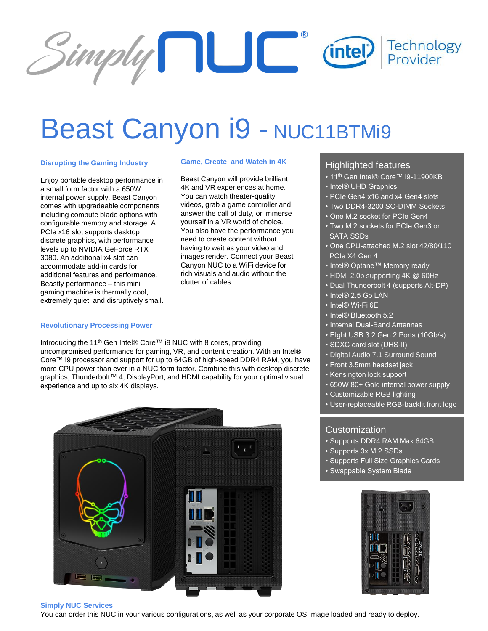

# Beast Canyon i9 - NUC11BTMi9

### **Disrupting the Gaming Industry**

Enjoy portable desktop performance in a small form factor with a 650W internal power supply. Beast Canyon comes with upgradeable components including compute blade options with configurable memory and storage. A PCIe x16 slot supports desktop discrete graphics, with performance levels up to NVIDIA GeForce RTX 3080. An additional x4 slot can accommodate add-in cards for additional features and performance. Beastly performance – this mini gaming machine is thermally cool, extremely quiet, and disruptively small.

### **Game, Create and Watch in 4K**

Beast Canyon will provide brilliant 4K and VR experiences at home. You can watch theater-quality videos, grab a game controller and answer the call of duty, or immerse yourself in a VR world of choice. You also have the performance you need to create content without having to wait as your video and images render. Connect your Beast Canyon NUC to a WiFi device for rich visuals and audio without the clutter of cables.

# **Revolutionary Processing Power**

Introducing the 11th Gen Intel® Core™ i9 NUC with 8 cores, providing uncompromised performance for gaming, VR, and content creation. With an Intel® Core™ i9 processor and support for up to 64GB of high-speed DDR4 RAM, you have more CPU power than ever in a NUC form factor. Combine this with desktop discrete graphics, Thunderbolt™ 4, DisplayPort, and HDMI capability for your optimal visual experience and up to six 4K displays.



# Highlighted features

- 11<sup>th</sup> Gen Intel® Core™ i9-11900KB
- Intel® UHD Graphics
- PCIe Gen4 x16 and x4 Gen4 slots
- Two DDR4-3200 SO-DIMM Sockets
- One M.2 socket for PCIe Gen4
- Two M.2 sockets for PCIe Gen3 or SATA SSDs
- One CPU-attached M.2 slot 42/80/110 PCIe X4 Gen 4
- Intel® Optane™ Memory ready
- HDMI 2.0b supporting 4K @ 60Hz
- Dual Thunderbolt 4 (supports Alt-DP)
- Intel® 2.5 Gb LAN
- Intel® Wi-Fi 6E
- Intel<sup>®</sup> Bluetooth 5.2
- Internal Dual-Band Antennas
- EIght USB 3.2 Gen 2 Ports (10Gb/s)
- SDXC card slot (UHS-II)
- Digital Audio 7.1 Surround Sound
- Front 3.5mm headset jack
- Kensington lock support
- 650W 80+ Gold internal power supply
- Customizable RGB lighting
- User-replaceable RGB-backlit front logo

# **Customization**

- Supports DDR4 RAM Max 64GB
- Supports 3x M.2 SSDs
- Supports Full Size Graphics Cards
- Swappable System Blade



#### **Simply NUC Services**

You can order this NUC in your various configurations, as well as your corporate OS Image loaded and ready to deploy.